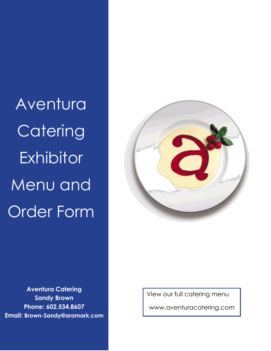Aventura **Catering Exhibitor** Menu and Order Form



**Aventura Catering Sandy Brown Phone: 602.534.8607 Email: Brown-Sandy@aramark.com**

View our full catering menu www.aventuracatering.com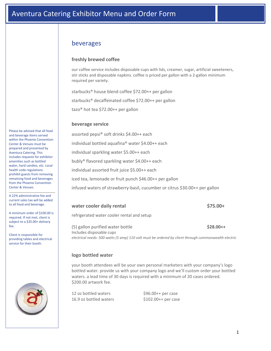### beverages

#### **freshly brewed coffee**

our coffee service includes disposable cups with lids, creamer, sugar, artificial sweeteners, stir sticks and disposable napkins. coffee is priced per gallon with a 2-gallon minimum required per variety.

starbucks® house blend coffee \$72.00++ per gallon

starbucks® decaffeinated coffee \$72.00++ per gallon

tazo® hot tea \$72.00++ per gallon

#### **beverage service**

assorted pepsi® soft drinks \$4.00++ each individual bottled aquafina® water \$4.00++ each individual sparkling water \$5.00++ each bubly® flavored sparkling water \$4.00++ each individual assorted fruit juice \$5.00++ each iced tea, lemonade or fruit punch \$46.00++ per gallon infused waters of strawberry-basil, cucumber or citrus \$30.00++ per gallon

#### **water cooler daily rental \$75.00+**

refrigerated water cooler rental and setup

(5) gallon purified water bottle **\$28.00++** Includes disposable cups *electrical needs: 500 watts (5 amp) 110 volt must be ordered by client through commonwealth electric*

#### **logo bottled water**

your booth attendees will be your own personal marketers with your company's logo bottled water. provide us with your company logo and we'll custom order your bottled waters. a lead time of 30 days is required with a minimum of 20 cases ordered. \$200.00 artwork fee.

12 oz bottled waters  $$96.00++$  per case 16.9 oz bottled waters \$102.00++ per case

Please be advised that all food and beverage items served within the Phoenix Convention Center & Venues must be prepared and presented by Aventura Catering. This includes requests for exhibitor amenities such as bottled water, hard candies, etc. Local health code regulations prohibit guests from removing remaining food and beverages from the Phoenix Convention Center & Venues.

A 22% administrative fee and current sales tax will be added to all food and beverage.

A minimum order of \$100.00 is required. If not met, client is subject to a \$35.00+ delivery fee.

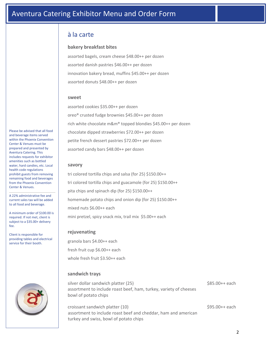## à la carte

#### **bakery breakfast bites**

assorted bagels, cream cheese \$48.00++ per dozen assorted danish pastries \$46.00++ per dozen innovation bakery bread, muffins \$45.00++ per dozen assorted donuts \$48.00++ per dozen

#### **sweet**

assorted cookies \$35.00++ per dozen oreo® crusted fudge brownies \$45.00++ per dozen rich white chocolate m&m® topped blondies \$45.00++ per dozen chocolate dipped strawberries \$72.00++ per dozen petite french dessert pastries \$72.00++ per dozen assorted candy bars \$48.00++ per dozen

#### **savory**

tri colored tortilla chips and salsa (for 25) \$150.00++ tri colored tortilla chips and guacamole (for 25) \$150.00++ pita chips and spinach dip (for 25) \$150.00++ homemade potato chips and onion dip (for 25) \$150.00++ mixed nuts \$6.00++ each mini pretzel, spicy snack mix, trail mix \$5.00++ each

#### **rejuvenating**

granola bars \$4.00++ each fresh fruit cup \$6.00++ each whole fresh fruit \$3.50++ each

#### **sandwich trays**

silver dollar sandwich platter (25) \$85.00++ each assortment to include roast beef, ham, turkey, variety of cheeses bowl of potato chips

croissant sandwich platter (10)  $$95.00++$  each assortment to include roast beef and cheddar, ham and american turkey and swiss, bowl of potato chips

Please be advised that all food and beverage items served within the Phoenix Convention Center & Venues must be prepared and presented by Aventura Catering. This includes requests for exhibitor amenities such as bottled water, hard candies, etc. Local health code regulations prohibit guests from removing remaining food and beverages from the Phoenix Convention Center & Venues.

A 22% administrative fee and current sales tax will be added to all food and beverage.

A minimum order of \$100.00 is required. If not met, client is subject to a \$35.00+ delivery fee.

Client is responsible for providing tables and electrical service for their booth.



2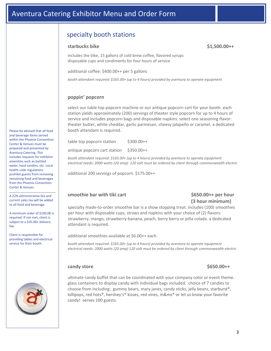## specialty booth stations

#### **starbucks bike \$1,500.00++**

includes the bike, 15 gallons of cold brew coffee, flavored syrups disposable cups and condiments for four hours of service

additional coffee: \$400.00++ per 5 gallons

*booth attendant required: \$165.00+ (up to 4 hours) provided by aventura to operate equipment*

#### **poppin' popcorn**

select our table top popcorn machine or our antique popcorn cart for your booth. each station yields approximately (200) servings of theater style popcorn for up to 4 hours of service and includes popcorn bags and disposable napkins. select one seasoning flavor: theater butter, white cheddar, garlic parmesan, cheesy jalapeño or caramel. a dedicated booth attendant is required.

table top popcorn station  $$300.00++$ 

antique popcorn cart station  $$350.00++$ 

*booth attendant required: \$165.00+ (up to 4 hours) provided by aventura to operate equipment electrical needs: 2000 watts (20 amp) 120 volt must be ordered by client through commonwealth electric*

additional 200 servings of popcorn \$175.00++

#### **smoothie bar with tiki cart \$650.00++ per hour**

# **(3 hour minimum)**

specialty made-to-order smoothie bar is a show stopping treat. includes (100) smoothies per hour with disposable cups, straws and napkins with your choice of (2) flavors: strawberry, mango, strawberry-banana, peach, berry berry or piña colada. a dedicated attendant is required.

additional smoothies available at \$6.00++ each

*booth attendant required: \$165.00+ (up to 4 hours) provided by aventura to operate equipment electrical needs: 2000 watts (20 amp) 120 volt must be ordered by client through commonwealth electric*

#### **candy store \$650.00++**

ultimate candy buffet that can be coordinated with your company color or event theme. glass containers to display candy with individual bags included. choice of 7 candies to choose from including: gummy bears, mary janes, candy sticks, jelly beans, starburst®, lollipops, red hots®, hershey's® kisses, red vines, m&ms® or let us know your favorite candy! serves 100 guests.

Please be advised that all food and beverage items served within the Phoenix Convention Center & Venues must be prepared and presented by Aventura Catering. This includes requests for exhibitor amenities such as bottled water, hard candies, etc. Local health code regulations prohibit guests from removing remaining food and beverages from the Phoenix Convention Center & Venues.

A 22% administrative fee and current sales tax will be added to all food and beverage.

A minimum order of \$100.00 is required. If not met, client is subject to a \$35.00+ delivery fee.

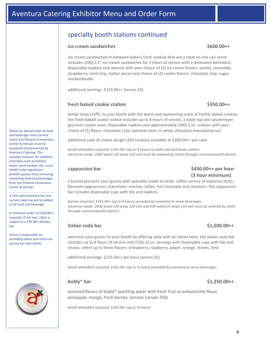## specialty booth stations continued

#### ice cream sandwiches  $\zeta$ 600.00++

ice cream sandwiched in between bakery fresh cookies that are a treat no one can resist. includes (100) 2.5" ice cream sandwiches for 2 hours of service with a dedicated attendant, disposable napkins and utensils with your choice of (2) ice cream flavors: vanilla, chocolate, strawberry, mint chip, butter pecan and choice of (2) cookie flavors: chocolate chip, sugar, snickerdoodle.

additional servings: \$150.00++ (serves 25)

#### **fresh baked cookie station \$350.00++**

tempt show traffic to your booth with the warm and welcoming scent of freshly baked cookies. the fresh baked cookie station includes up to 4 hours of service, a table top otis spunkmeyer gourmet cookie oven, disposable napkins and approximately (160) 2 oz. cookies with your choice of (1) flavor: chocolate chip, oatmeal raisin or white chocolate macadamia nut.

additional case of cookie dough (160 cookies) available at \$200.00++ per case

*booth attendant required: \$165.00+ (up to 4 hours) to bake and distribute cookies electrical needs: 2000 watts (20 amp) 120 volt must be ordered by client through commonwealth electric*

#### **cappuccino bar \$450.00++ per hour (3 hour minimum)**

a barista presents your guests with specialty made-to-order coffee service of espresso shots, flavored cappuccinos, macchiato, mochas, lattes, hot chocolate and steamers. the cappuccino bar includes disposable cups with lids and napkins.

*barista required: \$165.00+ (up to 4 hours) provided by aventura to serve beverages electrical needs: 2000 watts (20 amp) 120 volt and 500 watts (5 amp) 110 volt must be ordered by client through commonwealth electric*

#### **italian soda bar \$1,500.00++**

welcome your guests to your booth by offering soda with an italian twist. the italian soda bar includes up to 4 hours of service and (250) 12 oz. servings with disposable cups with lids and straws. select up to three flavors: strawberry, raspberry, peach, orange, lemon, lime.

additional servings: \$125.00++ per hour (serves 25)

*booth attendant required: \$165.00+ (up to 4 hours) provided by aventura to serve beverages*

#### **bubly**® **bar \$1,250.00++**

assorted flavors of bubly® sparkling water with fresh fruit to enhance the flavor pineapple, mango, fresh berries, lemons (serves 250)

*booth attendant required: \$165.00+ (up to 4 hours)*

Please be advised that all food and beverage items served within the Phoenix Convention Center & Venues must be prepared and presented by Aventura Catering. This includes requests for exhibitor amenities such as bottled water, hard candies, etc. Local health code regulations prohibit guests from removing remaining food and beverages from the Phoenix Convention Center & Venues.

A 22% administrative fee and current sales tax will be added to all food and beverage.

A minimum order of \$100.00 is required. If not met, client is subject to a \$35.00+ delivery fee.

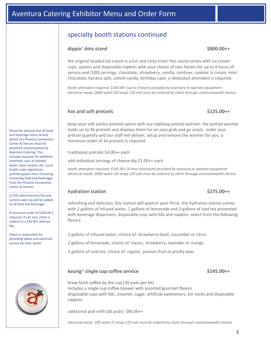## Aventura Catering Exhibitor Menu and Order Form

## specialty booth stations continued

#### **dippin' dots stand \$800.00++**

the original beaded ice cream is a fun and tasty treat! this stand comes with ice cream cups, spoons and disposable napkins with your choice of two flavors for up to 4 hours of service and (100) servings: chocolate, strawberry, vanilla, rainbow, cookies 'n cream, mint chocolate, banana split, cotton candy, birthday cake. a dedicated attendant is required.

*booth attendant required: \$165.00+ (up to 4 hours) provided by aventura to operate equipment electrical needs: 2000 watts (20 amp) 120 volt must be ordered by client through commonwealth electric*

### hot and soft pretzels **by a struck of the set of the set of the set of the set of the set of the set of the set of the set of the set of the set of the set of the set of the set of the set of the set of the set of the set**

### keep your soft jumbo pretzels warm with our tabletop pretzel warmer. the pretzel warmer holds up to 36 pretzels and displays them for an easy grab and go snack. order your pretzel quantity and our staff will deliver, setup and remove the warmer for you. a minimum order of 36 pretzels is required.

traditional pretzels \$4.00++ each

add individual servings of cheese dip \$1.00++ each

*booth attendant required: \$165.00+ (4 hour minimum) provided by aventura to operate equipment electrical needs: 2000 watts (20 amp) 120 volt must be ordered by client through commonwealth electric*

#### **hydration station \$275.00++**

#### refreshing and delicious, this station will quench your thirst. the hydration station comes with 2 gallons of infused water, 2 gallons of lemonade and 2 gallons of iced tea presented with beverage dispensers, disposable cups with lids and napkins. select from the following flavors:

2 gallons of infused water, choice of: strawberry-basil, cucumber or citrus

2 gallons of lemonade, choice of: classic, strawberry, lavender or mango

2 gallons of iced tea, choice of: regular, passion fruit or prickly pear

### **keurig**® single cup coffee service  $\left( \frac{1}{2} \right)$  single cup coffee service

### brew fresh coffee by the cup (30 pods per kit) includes a single cup coffee brewer with assorted gourmet flavors disposable cups with lids, creamer, sugar, artificial sweeteners, stir sticks and disposable napkins

additional pod refill (30 pods) \$85.00++

*electrical needs: 500 watts (5 amp) 110 volt must be ordered by client through commonwealth electric*

Please be advised that all food and beverage items served within the Phoenix Convention Center & Venues must be prepared and presented by Aventura Catering. This includes requests for exhibitor amenities such as bottled water, hard candies, etc. Local health code regulations prohibit guests from removing remaining food and beverages from the Phoenix Convention Center & Venues.

A 22% administrative fee and current sales tax will be added to all food and beverage.

A minimum order of \$100.00 is required. If not met, client is subject to a \$35.00+ delivery fee.

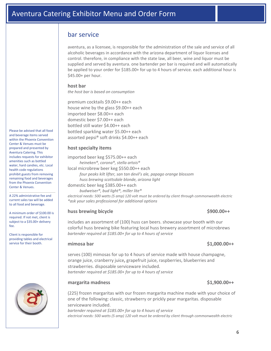## bar service

aventura, as a licensee, is responsible for the administration of the sale and service of all alcoholic beverages in accordance with the arizona department of liquor licenses and control. therefore, in compliance with the state law, all beer, wine and liquor must be supplied and served by aventura. one bartender per bar is required and will automatically be applied to your order for \$185.00+ for up to 4 hours of service. each additional hour is \$45.00+ per hour.

#### **host bar**

*the host bar is based on consumption*

premium cocktails \$9.00++ each house wine by the glass \$9.00++ each imported beer \$8.00++ each domestic beer \$7.00++ each bottled still water \$4.00++ each bottled sparkling water \$5.00++ each assorted pepsi® soft drinks \$4.00++ each

#### **host specialty items**

imported beer keg \$575.00++ each *heineken®, corona®, stella artois®*  local microbrew beer keg \$550.00++ each

*four peaks kilt lifter, san tan devil's ale, papago orange blossom huss brewing scottsdale blonde, arizona light*

domestic beer keg \$385.00++ each

*budweiser®, bud light®, miller lite®*

*electrical needs: 500 watts (5 amp) 120 volt must be ordered by client through commonwealth electric \*ask your sales professional for additional options*

#### **huss brewing bicycle \$900.00++**

includes an assortment of (100) huss can beers. showcase your booth with our colorful huss brewing bike featuring local huss brewery assortment of microbrews *bartender required at \$185.00+ for up to 4 hours of service*

serves (100) mimosas for up to 4 hours of service made with house champagne, orange juice, cranberry juice**,** grapefruit juice, raspberries, blueberries and strawberries. disposable serviceware included. *bartender required at \$185.00+ for up to 4 hours of service*

#### **margarita madness \$1,900.00++**

(225) frozen margaritas with our frozen margarita machine made with your choice of one of the following: classic, strawberry or prickly pear margaritas. disposable serviceware included. *bartender required at \$185.00+ for up to 4 hours of service electrical needs: 500 watts (5 amp) 120 volt must be ordered by client through commonwealth electric*

Please be advised that all food and beverage items served within the Phoenix Convention Center & Venues must be prepared and presented by Aventura Catering. This includes requests for exhibitor amenities such as bottled water, hard candies, etc. Local health code regulations prohibit guests from removing remaining food and beverages from the Phoenix Convention Center & Venues.

A 22% administrative fee and current sales tax will be added to all food and beverage.

A minimum order of \$100.00 is required. If not met, client is subject to a \$35.00+ delivery fee.

Client is responsible for providing tables and electrical service for their booth.



### **mimosa bar \$1,000.00++**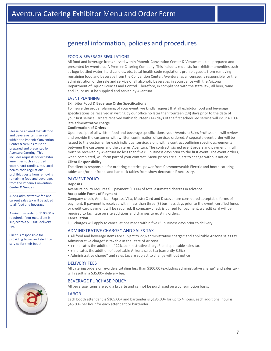## general information, policies and procedures

#### FOOD & BEVERAGE REGULATIONS

All food and beverage items served within Phoenix Convention Center & Venues must be prepared and presented by Aventura…A Premier Catering Company. This includes requests for exhibitor amenities such as logo-bottled water, hard candies, etc. Local health code regulations prohibit guests from removing remaining food and beverage from the Convention Center. Aventura, as a licensee, is responsible for the administration of the sale and service of all alcoholic beverages in accordance with the Arizona Department of Liquor Licenses and Control. Therefore, in compliance with the state law, all beer, wine and liquor must be supplied and served by Aventura.

#### EVENT PLANNING

#### **Exhibitor Food & Beverage Order Specifications**

To insure the proper planning of your event, we kindly request that all exhibitor food and beverage specifications be received in writing by our office no later than fourteen (14) days prior to the date of your first service. Orders received within fourteen (14) days of the first scheduled service will incur a 10% late administrative charge.

#### **Confirmation of Orders**

Upon receipt of all written food and beverage specifications, your Aventura Sales Professional will review and provide the customer with written confirmation of services ordered. A separate event order will be issued to the customer for each individual service, along with a contract outlining specific agreements between the customer and the caterer, Aventura. The contract, signed event orders and payment in full must be received by Aventura no less than five (5) business days prior to the first event. The event orders, when completed, will form part of your contract. Menu prices are subject to change without notice. **Client Responsibility**

The client is responsible for ordering electrical power from Commonwealth Electric and booth catering tables and/or bar fronts and bar back tables from show decorator if necessary.

#### PAYMENT POLICY

**Deposits**

Aventura policy requires full payment (100%) of total estimated charges in advance. **Acceptable Forms of Payment**

Company check, American Express, Visa, MasterCard and Discover are considered acceptable forms of payment. If payment is received within less than three (3) business days prior to the event, certified funds or credit card payment will be required. If company check is utilized for payment, a credit card will be required to facilitate on site additions and changes to existing orders.

**Cancellation** 

Full charges will apply to cancellations made within five (5) business days prior to delivery.

#### ADMINISTRATIVE CHARGE\* AND SALES TAX

• All food and beverage items are subject to 22% administrative charge\* and applicable Arizona sales tax. Administrative charge\* is taxable in the State of Arizona.

- ++ indicates the addition of 22% administrative charge\* and applicable sales tax
- + indicates the addition of applicable Arizona sales tax (currently 8.6%)
- Administrative charge\* and sales tax are subject to change without notice

#### DELIVERY FEES

All catering orders or re-orders totaling less than \$100.00 (excluding administrative charge\* and sales tax) will result in a \$35.00+ delivery fee.

#### BEVERAGE PURCHASE POLICY

All beverage items are sold à la carte and cannot be purchased on a consumption basis.

#### **LABOR**

Each booth attendant is \$165.00+ and bartender is \$185.00+ for up to 4 hours, each additional hour is \$45.00+ per hour for each attendant or bartender.

Please be advised that all food and beverage items served within the Phoenix Convention Center & Venues must be prepared and presented by Aventura Catering. This includes requests for exhibitor amenities such as bottled water, hard candies, etc. Local health code regulations prohibit guests from removing remaining food and beverages from the Phoenix Convention Center & Venues.

A 22% administrative fee and current sales tax will be added to all food and beverage.

A minimum order of \$100.00 is required. If not met, client is subject to a \$35.00+ delivery fee.

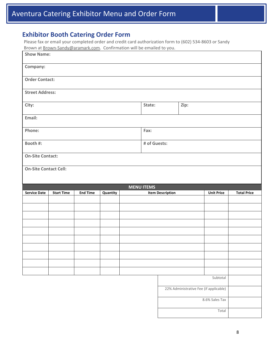## **Exhibitor Booth Catering Order Form**

Please fax or email your completed order and credit card authorization form to (602) 534-8603 or Sandy Brown at Brown-Sandy@aramark.com. Confirmation will be emailed to you.

| brown at <u>Brown Sanay Caramanceoni</u> . Committation will be emailed to you.<br><b>Show Name:</b> |                   |                 |          |  |                   |                         |                                        |                         |                    |
|------------------------------------------------------------------------------------------------------|-------------------|-----------------|----------|--|-------------------|-------------------------|----------------------------------------|-------------------------|--------------------|
| Company:                                                                                             |                   |                 |          |  |                   |                         |                                        |                         |                    |
| <b>Order Contact:</b>                                                                                |                   |                 |          |  |                   |                         |                                        |                         |                    |
| <b>Street Address:</b>                                                                               |                   |                 |          |  |                   |                         |                                        |                         |                    |
| City:                                                                                                |                   |                 |          |  | State:            | Zip:                    |                                        |                         |                    |
| Email:                                                                                               |                   |                 |          |  |                   |                         |                                        |                         |                    |
| Phone:<br>Fax:                                                                                       |                   |                 |          |  |                   |                         |                                        |                         |                    |
| Booth #:                                                                                             |                   |                 |          |  | # of Guests:      |                         |                                        |                         |                    |
| <b>On-Site Contact:</b>                                                                              |                   |                 |          |  |                   |                         |                                        |                         |                    |
| <b>On-Site Contact Cell:</b>                                                                         |                   |                 |          |  |                   |                         |                                        |                         |                    |
|                                                                                                      |                   |                 |          |  |                   |                         |                                        |                         |                    |
|                                                                                                      |                   |                 |          |  |                   |                         |                                        |                         |                    |
|                                                                                                      |                   |                 |          |  | <b>MENU ITEMS</b> |                         |                                        |                         |                    |
| <b>Service Date</b>                                                                                  | <b>Start Time</b> | <b>End Time</b> | Quantity |  |                   | <b>Item Description</b> |                                        | <b>Unit Price</b>       | <b>Total Price</b> |
|                                                                                                      |                   |                 |          |  |                   |                         |                                        |                         |                    |
|                                                                                                      |                   |                 |          |  |                   |                         |                                        |                         |                    |
|                                                                                                      |                   |                 |          |  |                   |                         |                                        |                         |                    |
|                                                                                                      |                   |                 |          |  |                   |                         |                                        |                         |                    |
|                                                                                                      |                   |                 |          |  |                   |                         |                                        |                         |                    |
|                                                                                                      |                   |                 |          |  |                   |                         |                                        |                         |                    |
|                                                                                                      |                   |                 |          |  |                   |                         |                                        |                         |                    |
|                                                                                                      |                   |                 |          |  |                   |                         |                                        |                         |                    |
|                                                                                                      |                   |                 |          |  |                   |                         |                                        |                         |                    |
|                                                                                                      |                   |                 |          |  |                   |                         |                                        | Subtotal                |                    |
|                                                                                                      |                   |                 |          |  |                   |                         | 22% Administrative Fee (if applicable) |                         |                    |
|                                                                                                      |                   |                 |          |  |                   |                         |                                        | 8.6% Sales Tax<br>Total |                    |